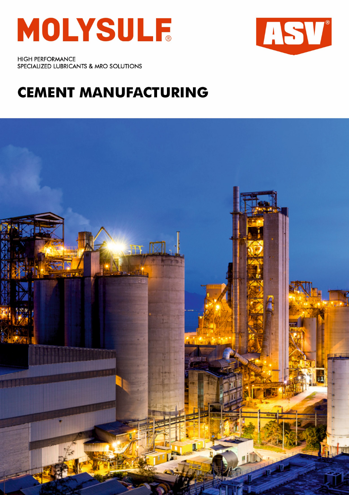



**HIGH PERFORMANCE** SPECIALIZED LUBRICANTS & MRO SOLUTIONS

## **CEMENT MANUFACTURING**